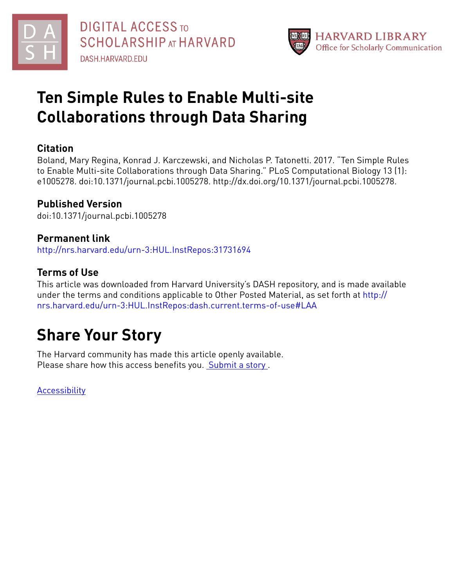



# **Ten Simple Rules to Enable Multi-site Collaborations through Data Sharing**

## **Citation**

Boland, Mary Regina, Konrad J. Karczewski, and Nicholas P. Tatonetti. 2017. "Ten Simple Rules to Enable Multi-site Collaborations through Data Sharing." PLoS Computational Biology 13 (1): e1005278. doi:10.1371/journal.pcbi.1005278. http://dx.doi.org/10.1371/journal.pcbi.1005278.

# **Published Version**

doi:10.1371/journal.pcbi.1005278

## **Permanent link**

<http://nrs.harvard.edu/urn-3:HUL.InstRepos:31731694>

# **Terms of Use**

This article was downloaded from Harvard University's DASH repository, and is made available under the terms and conditions applicable to Other Posted Material, as set forth at [http://](http://nrs.harvard.edu/urn-3:HUL.InstRepos:dash.current.terms-of-use#LAA) [nrs.harvard.edu/urn-3:HUL.InstRepos:dash.current.terms-of-use#LAA](http://nrs.harvard.edu/urn-3:HUL.InstRepos:dash.current.terms-of-use#LAA)

# **Share Your Story**

The Harvard community has made this article openly available. Please share how this access benefits you. [Submit](http://osc.hul.harvard.edu/dash/open-access-feedback?handle=&title=Ten%20Simple%20Rules%20to%20Enable%20Multi-site%20Collaborations%20through%20Data%20Sharing&community=1/4454685&collection=1/4454686&owningCollection1/4454686&harvardAuthors=17051f5d5a0e3dffdf57c260ab508a89&department) a story .

**[Accessibility](https://dash.harvard.edu/pages/accessibility)**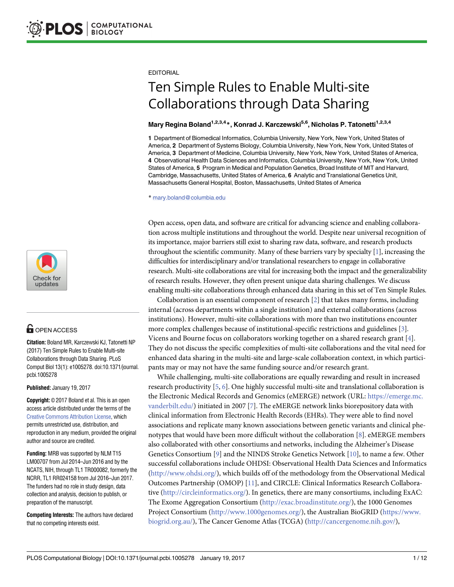

# **G** OPEN ACCESS

**Citation:** Boland MR, Karczewski KJ, Tatonetti NP (2017) Ten Simple Rules to Enable Multi-site Collaborations through Data Sharing. PLoS Comput Biol 13(1): e1005278. doi:10.1371/journal. pcbi.1005278

#### **Published:** January 19, 2017

**Copyright:** © 2017 Boland et al. This is an open access article distributed under the terms of the Creative Commons [Attribution](http://creativecommons.org/licenses/by/4.0/) License, which permits unrestricted use, distribution, and reproduction in any medium, provided the original author and source are credited.

**Funding:** MRB was supported by NLM T15 LM00707 from Jul 2014–Jun 2016 and by the NCATS, NIH, through TL1 TR000082, formerly the NCRR, TL1 RR024158 from Jul 2016–Jun 2017. The funders had no role in study design, data collection and analysis, decision to publish, or preparation of the manuscript.

**Competing Interests:** The authors have declared that no competing interests exist.

<span id="page-1-0"></span>EDITORIAL

# Ten Simple Rules to Enable Multi-site Collaborations through Data Sharing

#### **Mary Regina Boland1,2,3,4\*, Konrad J. Karczewski5,6, Nicholas P. Tatonetti1,2,3,4**

**1** Department of Biomedical Informatics, Columbia University, New York, New York, United States of America, **2** Department of Systems Biology, Columbia University, New York, New York, United States of America, **3** Department of Medicine, Columbia University, New York, New York, United States of America, **4** Observational Health Data Sciences and Informatics, Columbia University, New York, New York, United States of America, **5** Program in Medical and Population Genetics, Broad Institute of MIT and Harvard, Cambridge, Massachusetts, United States of America, **6** Analytic and Translational Genetics Unit, Massachusetts General Hospital, Boston, Massachusetts, United States of America

\* mary.boland@columbia.edu

Open access, open data, and software are critical for advancing science and enabling collaboration across multiple institutions and throughout the world. Despite near universal recognition of its importance, major barriers still exist to sharing raw data, software, and research products throughout the scientific community. Many of these barriers vary by specialty [\[1](#page-10-0)], increasing the difficulties for interdisciplinary and/or translational researchers to engage in collaborative research. Multi-site collaborations are vital for increasing both the impact and the generalizability of research results. However, they often present unique data sharing challenges. We discuss enabling multi-site collaborations through enhanced data sharing in this set of Ten Simple Rules.

Collaboration is an essential component of research [\[2\]](#page-10-0) that takes many forms, including internal (across departments within a single institution) and external collaborations (across institutions). However, multi-site collaborations with more than two institutions encounter more complex challenges because of institutional-specific restrictions and guidelines [[3\]](#page-11-0). Vicens and Bourne focus on collaborators working together on a shared research grant [\[4\]](#page-11-0). They do not discuss the specific complexities of multi-site collaborations and the vital need for enhanced data sharing in the multi-site and large-scale collaboration context, in which participants may or may not have the same funding source and/or research grant.

While challenging, multi-site collaborations are equally rewarding and result in increased research productivity [\[5](#page-11-0), [6](#page-11-0)]. One highly successful multi-site and translational collaboration is the Electronic Medical Records and Genomics (eMERGE) network (URL: [https://emerge.mc.](https://emerge.mc.vanderbilt.edu/) [vanderbilt.edu/](https://emerge.mc.vanderbilt.edu/)) initiated in 2007 [\[7\]](#page-11-0). The eMERGE network links biorepository data with clinical information from Electronic Health Records (EHRs). They were able to find novel associations and replicate many known associations between genetic variants and clinical phenotypes that would have been more difficult without the collaboration [[8](#page-11-0)]. eMERGE members also collaborated with other consortiums and networks, including the Alzheimer's Disease Genetics Consortium [\[9\]](#page-11-0) and the NINDS Stroke Genetics Network [\[10\]](#page-11-0), to name a few. Other successful collaborations include OHDSI: Observational Health Data Sciences and Informatics [\(http://www.ohdsi.org/](http://www.ohdsi.org/)), which builds off of the methodology from the Observational Medical Outcomes Partnership (OMOP) [\[11\]](#page-11-0), and CIRCLE: Clinical Informatics Research Collaborative [\(http://circleinformatics.org/\)](http://circleinformatics.org/). In genetics, there are many consortiums, including ExAC: The Exome Aggregation Consortium ([http://exac.broadinstitute.org/\)](http://exac.broadinstitute.org/), the 1000 Genomes Project Consortium (<http://www.1000genomes.org/>), the Australian BioGRID [\(https://www.](https://www.biogrid.org.au/) [biogrid.org.au/\)](https://www.biogrid.org.au/), The Cancer Genome Atlas (TCGA) ([http://cancergenome.nih.gov/\)](http://cancergenome.nih.gov/),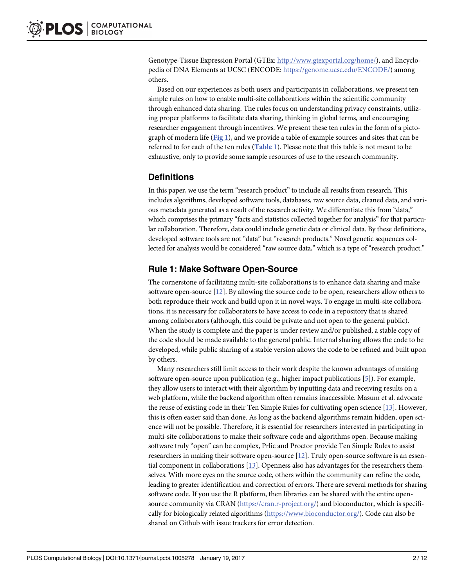<span id="page-2-0"></span>Genotype-Tissue Expression Portal (GTEx: <http://www.gtexportal.org/home/>), and Encyclopedia of DNA Elements at UCSC (ENCODE: <https://genome.ucsc.edu/ENCODE/>) among others.

Based on our experiences as both users and participants in collaborations, we present ten simple rules on how to enable multi-site collaborations within the scientific community through enhanced data sharing. The rules focus on understanding privacy constraints, utilizing proper platforms to facilitate data sharing, thinking in global terms, and encouraging researcher engagement through incentives. We present these ten rules in the form of a pictograph of modern life (**[Fig](#page-3-0) 1**), and we provide a table of example sources and sites that can be referred to for each of the ten rules (**[Table](#page-4-0) 1**). Please note that this table is not meant to be exhaustive, only to provide some sample resources of use to the research community.

## **Definitions**

In this paper, we use the term "research product" to include all results from research. This includes algorithms, developed software tools, databases, raw source data, cleaned data, and various metadata generated as a result of the research activity. We differentiate this from "data," which comprises the primary "facts and statistics collected together for analysis" for that particular collaboration. Therefore, data could include genetic data or clinical data. By these definitions, developed software tools are not "data" but "research products." Novel genetic sequences collected for analysis would be considered "raw source data," which is a type of "research product."

## **Rule 1: Make Software Open-Source**

The cornerstone of facilitating multi-site collaborations is to enhance data sharing and make software open-source [\[12\]](#page-11-0). By allowing the source code to be open, researchers allow others to both reproduce their work and build upon it in novel ways. To engage in multi-site collaborations, it is necessary for collaborators to have access to code in a repository that is shared among collaborators (although, this could be private and not open to the general public). When the study is complete and the paper is under review and/or published, a stable copy of the code should be made available to the general public. Internal sharing allows the code to be developed, while public sharing of a stable version allows the code to be refined and built upon by others.

Many researchers still limit access to their work despite the known advantages of making software open-source upon publication (e.g., higher impact publications [\[5](#page-11-0)]). For example, they allow users to interact with their algorithm by inputting data and receiving results on a web platform, while the backend algorithm often remains inaccessible. Masum et al. advocate the reuse of existing code in their Ten Simple Rules for cultivating open science [\[13\]](#page-11-0). However, this is often easier said than done. As long as the backend algorithms remain hidden, open science will not be possible. Therefore, it is essential for researchers interested in participating in multi-site collaborations to make their software code and algorithms open. Because making software truly "open" can be complex, Prlic and Proctor provide Ten Simple Rules to assist researchers in making their software open-source [[12](#page-11-0)]. Truly open-source software is an essential component in collaborations [\[13\]](#page-11-0). Openness also has advantages for the researchers themselves. With more eyes on the source code, others within the community can refine the code, leading to greater identification and correction of errors. There are several methods for sharing software code. If you use the R platform, then libraries can be shared with the entire opensource community via CRAN ([https://cran.r-project.org/\)](https://github.com/) and bioconductor, which is specifically for biologically related algorithms [\(https://www.bioconductor.org/\)](http://exac.broadinstitute.org/). Code can also be shared on Github with issue trackers for error detection.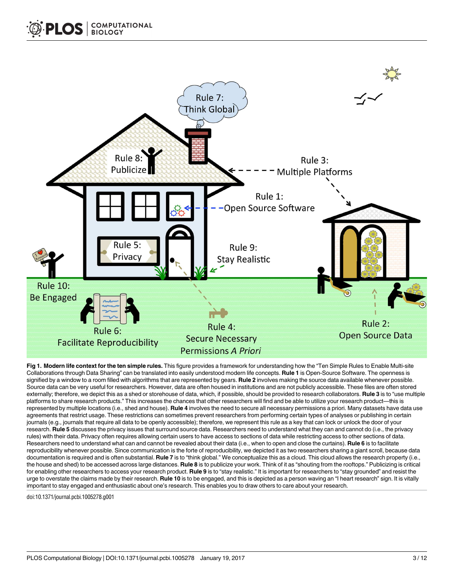<span id="page-3-0"></span>

**[Fig](#page-2-0) 1. Modern life context for the ten simple rules.** This figure provides a framework for understanding how the "Ten Simple Rules to Enable Multi-site Collaborations through Data Sharing" can be translated into easily understood modern life concepts. **Rule 1** is Open-Source Software. The openness is signified by a window to a room filled with algorithms that are represented by gears. **Rule 2** involves making the source data available whenever possible. Source data can be very useful for researchers. However, data are often housed in institutions and are not publicly accessible. These files are often stored externally; therefore, we depict this as a shed or storehouse of data, which, if possible, should be provided to research collaborators. **Rule 3** is to "use multiple platforms to share research products." This increases the chances that other researchers will find and be able to utilize your research product—this is represented by multiple locations (i.e., shed and house). **Rule 4** involves the need to secure all necessary permissions a priori. Many datasets have data use agreements that restrict usage. These restrictions can sometimes prevent researchers from performing certain types of analyses or publishing in certain journals (e.g., journals that require all data to be openly accessible); therefore, we represent this rule as a key that can lock or unlock the door of your research. **Rule 5** discusses the privacy issues that surround source data. Researchers need to understand what they can and cannot do (i.e., the privacy rules) with their data. Privacy often requires allowing certain users to have access to sections of data while restricting access to other sections of data. Researchers need to understand what can and cannot be revealed about their data (i.e., when to open and close the curtains). **Rule 6** is to facilitate reproducibility whenever possible. Since communication is the forte of reproducibility, we depicted it as two researchers sharing a giant scroll, because data documentation is required and is often substantial. **Rule 7** is to "think global." We conceptualize this as a cloud. This cloud allows the research property (i.e., the house and shed) to be accessed across large distances. **Rule 8** is to publicize your work. Think of it as "shouting from the rooftops." Publicizing is critical for enabling other researchers to access your research product. **Rule 9** is to "stay realistic." It is important for researchers to "stay grounded" and resist the urge to overstate the claims made by their research. **Rule 10** is to be engaged, and this is depicted as a person waving an "I heart research" sign. It is vitally important to stay engaged and enthusiastic about one's research. This enables you to draw others to care about your research.

doi:10.1371/journal.pcbi.1005278.g001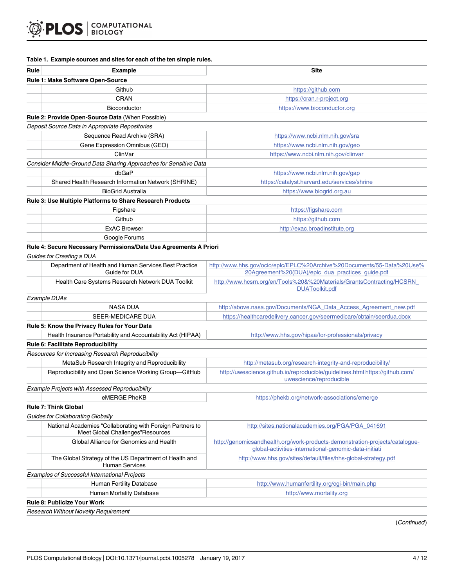#### <span id="page-4-0"></span>**[Table](#page-2-0) 1. Example sources and sites for each of the ten simple rules.**

| Rule                                              | <b>Example</b>                                                                                 | <b>Site</b>                                                                                                                           |  |
|---------------------------------------------------|------------------------------------------------------------------------------------------------|---------------------------------------------------------------------------------------------------------------------------------------|--|
|                                                   | Rule 1: Make Software Open-Source                                                              |                                                                                                                                       |  |
|                                                   | Github                                                                                         | https://github.com                                                                                                                    |  |
|                                                   | <b>CRAN</b>                                                                                    | https://cran.r-project.org                                                                                                            |  |
|                                                   | <b>Bioconductor</b>                                                                            | https://www.bioconductor.org                                                                                                          |  |
|                                                   | Rule 2: Provide Open-Source Data (When Possible)                                               |                                                                                                                                       |  |
|                                                   | Deposit Source Data in Appropriate Repositories                                                |                                                                                                                                       |  |
|                                                   | Sequence Read Archive (SRA)                                                                    | https://www.ncbi.nlm.nih.gov/sra                                                                                                      |  |
|                                                   | Gene Expression Omnibus (GEO)                                                                  | https://www.ncbi.nlm.nih.gov/geo                                                                                                      |  |
|                                                   | ClinVar                                                                                        | https://www.ncbi.nlm.nih.gov/clinvar                                                                                                  |  |
|                                                   | Consider Middle-Ground Data Sharing Approaches for Sensitive Data                              |                                                                                                                                       |  |
|                                                   | dbGaP                                                                                          | https://www.ncbi.nlm.nih.gov/gap                                                                                                      |  |
|                                                   | Shared Health Research Information Network (SHRINE)                                            | https://catalyst.harvard.edu/services/shrine                                                                                          |  |
|                                                   | <b>BioGrid Australia</b>                                                                       | https://www.biogrid.org.au                                                                                                            |  |
|                                                   | Rule 3: Use Multiple Platforms to Share Research Products                                      |                                                                                                                                       |  |
|                                                   | Figshare                                                                                       | https://figshare.com                                                                                                                  |  |
|                                                   | Github                                                                                         | https://github.com                                                                                                                    |  |
|                                                   | <b>ExAC Browser</b>                                                                            | http://exac.broadinstitute.org                                                                                                        |  |
|                                                   | Google Forums                                                                                  |                                                                                                                                       |  |
|                                                   | Rule 4: Secure Necessary Permissions/Data Use Agreements A Priori                              |                                                                                                                                       |  |
|                                                   | Guides for Creating a DUA                                                                      |                                                                                                                                       |  |
|                                                   | Department of Health and Human Services Best Practice<br>Guide for DUA                         | http://www.hhs.gov/ocio/eplc/EPLC%20Archive%20Documents/55-Data%20Use%<br>20Agreement%20(DUA)/eplc_dua_practices_guide.pdf            |  |
|                                                   | Health Care Systems Research Network DUA Toolkit                                               | http://www.hcsrn.org/en/Tools%20&%20Materials/GrantsContracting/HCSRN_<br>DUAToolkit.pdf                                              |  |
|                                                   | <b>Example DUAs</b>                                                                            |                                                                                                                                       |  |
|                                                   | <b>NASA DUA</b>                                                                                | http://above.nasa.gov/Documents/NGA_Data_Access_Agreement_new.pdf                                                                     |  |
|                                                   | SEER-MEDICARE DUA                                                                              | https://healthcaredelivery.cancer.gov/seermedicare/obtain/seerdua.docx                                                                |  |
|                                                   | Rule 5: Know the Privacy Rules for Your Data                                                   |                                                                                                                                       |  |
|                                                   | Health Insurance Portability and Accountability Act (HIPAA)                                    | http://www.hhs.gov/hipaa/for-professionals/privacy                                                                                    |  |
|                                                   | Rule 6: Facilitate Reproducibility                                                             |                                                                                                                                       |  |
| Resources for Increasing Research Reproducibility |                                                                                                |                                                                                                                                       |  |
|                                                   | MetaSub Research Integrity and Reproducibility                                                 | http://metasub.org/research-integrity-and-reproducibility/                                                                            |  |
|                                                   | Reproducibility and Open Science Working Group-GitHub                                          | http://uwescience.github.io/reproducible/guidelines.html https://github.com/<br>uwescience/reproducible                               |  |
| Example Projects with Assessed Reproducibility    |                                                                                                |                                                                                                                                       |  |
|                                                   | eMERGE PheKB                                                                                   | https://phekb.org/network-associations/emerge                                                                                         |  |
|                                                   | <b>Rule 7: Think Global</b>                                                                    |                                                                                                                                       |  |
|                                                   | <b>Guides for Collaborating Globally</b>                                                       |                                                                                                                                       |  |
|                                                   | National Academies "Collaborating with Foreign Partners to<br>Meet Global Challenges"Resources | http://sites.nationalacademies.org/PGA/PGA 041691                                                                                     |  |
|                                                   | Global Alliance for Genomics and Health                                                        | http://genomicsandhealth.org/work-products-demonstration-projects/catalogue-<br>global-activities-international-genomic-data-initiati |  |
|                                                   | The Global Strategy of the US Department of Health and<br><b>Human Services</b>                | http://www.hhs.gov/sites/default/files/hhs-global-strategy.pdf                                                                        |  |
|                                                   | <b>Examples of Successful International Projects</b>                                           |                                                                                                                                       |  |
|                                                   | Human Fertility Database                                                                       | http://www.humanfertility.org/cgi-bin/main.php                                                                                        |  |
|                                                   | Human Mortality Database                                                                       | http://www.mortality.org                                                                                                              |  |
|                                                   | <b>Rule 8: Publicize Your Work</b>                                                             |                                                                                                                                       |  |
|                                                   | <b>Research Without Novelty Requirement</b>                                                    |                                                                                                                                       |  |

(Continued)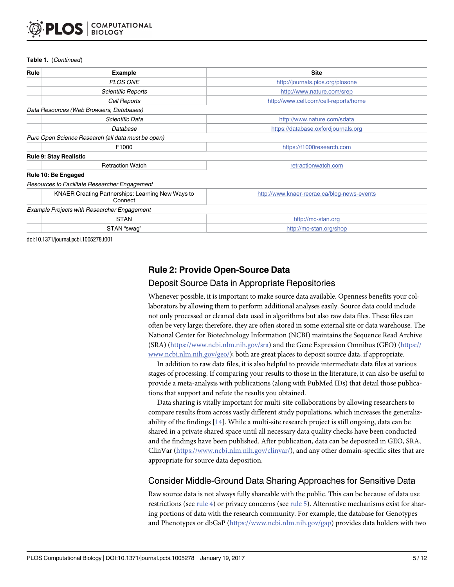#### <span id="page-5-0"></span>**Table 1.** (Continued)

| Rule | <b>Example</b>                                               | <b>Site</b>                                 |
|------|--------------------------------------------------------------|---------------------------------------------|
|      | <b>PLOS ONE</b>                                              | http://journals.plos.org/plosone            |
|      | <b>Scientific Reports</b>                                    | http://www.nature.com/srep                  |
|      | Cell Reports                                                 | http://www.cell.com/cell-reports/home       |
|      | Data Resources (Web Browsers, Databases)                     |                                             |
|      | Scientific Data                                              | http://www.nature.com/sdata                 |
|      | Database                                                     | https://database.oxfordjournals.org         |
|      | Pure Open Science Research (all data must be open)           |                                             |
|      | F1000                                                        | https://f1000research.com                   |
|      | <b>Rule 9: Stay Realistic</b>                                |                                             |
|      | <b>Retraction Watch</b>                                      | retractionwatch.com                         |
|      | Rule 10: Be Engaged                                          |                                             |
|      | Resources to Facilitate Researcher Engagement                |                                             |
|      | KNAER Creating Partnerships: Learning New Ways to<br>Connect | http://www.knaer-recrae.ca/blog-news-events |
|      | <b>Example Projects with Researcher Engagement</b>           |                                             |
|      | <b>STAN</b>                                                  | http://mc-stan.org                          |
|      | STAN "swag"                                                  | http://mc-stan.org/shop                     |

doi:10.1371/journal.pcbi.1005278.t001

## **Rule 2: Provide Open-Source Data**

#### Deposit Source Data in Appropriate Repositories

Whenever possible, it is important to make source data available. Openness benefits your collaborators by allowing them to perform additional analyses easily. Source data could include not only processed or cleaned data used in algorithms but also raw data files. These files can often be very large; therefore, they are often stored in some external site or data warehouse. The National Center for Biotechnology Information (NCBI) maintains the Sequence Read Archive (SRA) ([https://www.ncbi.nlm.nih.gov/sra\)](https://www.ncbi.nlm.nih.gov/sra) and the Gene Expression Omnibus (GEO) [\(https://](https://www.ncbi.nlm.nih.gov/geo/) [www.ncbi.nlm.nih.gov/geo/\)](https://www.ncbi.nlm.nih.gov/geo/); both are great places to deposit source data, if appropriate.

In addition to raw data files, it is also helpful to provide intermediate data files at various stages of processing. If comparing your results to those in the literature, it can also be useful to provide a meta-analysis with publications (along with PubMed IDs) that detail those publications that support and refute the results you obtained.

Data sharing is vitally important for multi-site collaborations by allowing researchers to compare results from across vastly different study populations, which increases the generalizability of the findings [\[14\]](#page-11-0). While a multi-site research project is still ongoing, data can be shared in a private shared space until all necessary data quality checks have been conducted and the findings have been published. After publication, data can be deposited in GEO, SRA, ClinVar ([https://www.ncbi.nlm.nih.gov/clinvar/\)](https://www.ncbi.nlm.nih.gov/clinvar/), and any other domain-specific sites that are appropriate for source data deposition.

#### Consider Middle-Ground Data Sharing Approaches for Sensitive Data

Raw source data is not always fully shareable with the public. This can be because of data use restrictions (see [rule](#page-7-0) 4) or privacy concerns (see [rule](#page-7-0) 5). Alternative mechanisms exist for sharing portions of data with the research community. For example, the database for Genotypes and Phenotypes or dbGaP ([https://www.ncbi.nlm.nih.gov/gap\)](https://www.ncbi.nlm.nih.gov/gap) provides data holders with two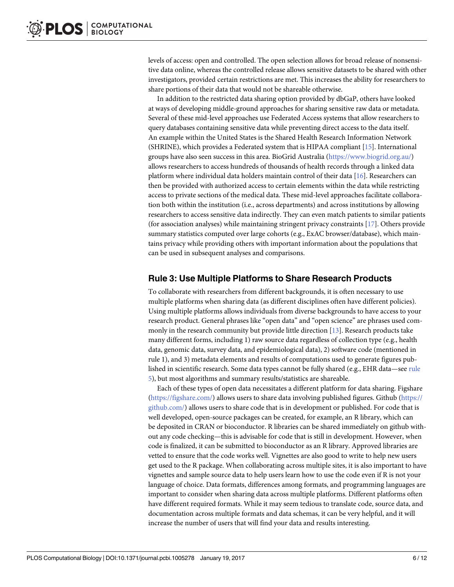<span id="page-6-0"></span>levels of access: open and controlled. The open selection allows for broad release of nonsensitive data online, whereas the controlled release allows sensitive datasets to be shared with other investigators, provided certain restrictions are met. This increases the ability for researchers to share portions of their data that would not be shareable otherwise.

In addition to the restricted data sharing option provided by dbGaP, others have looked at ways of developing middle-ground approaches for sharing sensitive raw data or metadata. Several of these mid-level approaches use Federated Access systems that allow researchers to query databases containing sensitive data while preventing direct access to the data itself. An example within the United States is the Shared Health Research Information Network (SHRINE), which provides a Federated system that is HIPAA compliant [\[15\]](#page-11-0). International groups have also seen success in this area. BioGrid Australia [\(https://www.biogrid.org.au/\)](https://www.biogrid.org.au/) allows researchers to access hundreds of thousands of health records through a linked data platform where individual data holders maintain control of their data [[16](#page-11-0)]. Researchers can then be provided with authorized access to certain elements within the data while restricting access to private sections of the medical data. These mid-level approaches facilitate collaboration both within the institution (i.e., across departments) and across institutions by allowing researchers to access sensitive data indirectly. They can even match patients to similar patients (for association analyses) while maintaining stringent privacy constraints [[17](#page-11-0)]. Others provide summary statistics computed over large cohorts (e.g., ExAC browser/database), which maintains privacy while providing others with important information about the populations that can be used in subsequent analyses and comparisons.

#### **Rule 3: Use Multiple Platforms to Share Research Products**

To collaborate with researchers from different backgrounds, it is often necessary to use multiple platforms when sharing data (as different disciplines often have different policies). Using multiple platforms allows individuals from diverse backgrounds to have access to your research product. General phrases like "open data" and "open science" are phrases used commonly in the research community but provide little direction [[13](#page-11-0)]. Research products take many different forms, including 1) raw source data regardless of collection type (e.g., health data, genomic data, survey data, and epidemiological data), 2) software code (mentioned in rule 1), and 3) metadata elements and results of computations used to generate figures published in scientific research. Some data types cannot be fully shared (e.g., EHR data—see [rule](#page-7-0) [5\)](#page-7-0), but most algorithms and summary results/statistics are shareable.

Each of these types of open data necessitates a different platform for data sharing. Figshare [\(https://figshare.com/\)](https://figshare.com/) allows users to share data involving published figures. Github [\(https://](https://github.com/) [github.com/\)](https://github.com/) allows users to share code that is in development or published. For code that is well developed, open-source packages can be created, for example, an R library, which can be deposited in CRAN or bioconductor. R libraries can be shared immediately on github without any code checking—this is advisable for code that is still in development. However, when code is finalized, it can be submitted to bioconductor as an R library. Approved libraries are vetted to ensure that the code works well. Vignettes are also good to write to help new users get used to the R package. When collaborating across multiple sites, it is also important to have vignettes and sample source data to help users learn how to use the code even if R is not your language of choice. Data formats, differences among formats, and programming languages are important to consider when sharing data across multiple platforms. Different platforms often have different required formats. While it may seem tedious to translate code, source data, and documentation across multiple formats and data schemas, it can be very helpful, and it will increase the number of users that will find your data and results interesting.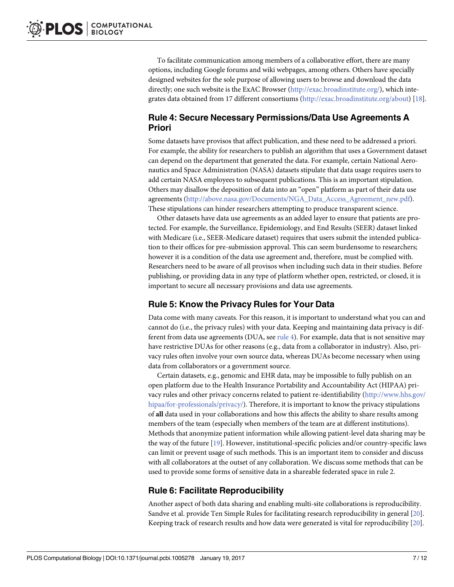<span id="page-7-0"></span>To facilitate communication among members of a collaborative effort, there are many options, including Google forums and wiki webpages, among others. Others have specially designed websites for the sole purpose of allowing users to browse and download the data directly; one such website is the ExAC Browser (<http://exac.broadinstitute.org/>), which integrates data obtained from 17 different consortiums [\(http://exac.broadinstitute.org/about](http://exac.broadinstitute.org/about)) [\[18\]](#page-11-0).

## **Rule 4: Secure Necessary Permissions/Data Use Agreements A Priori**

Some datasets have provisos that affect publication, and these need to be addressed a priori. For example, the ability for researchers to publish an algorithm that uses a Government dataset can depend on the department that generated the data. For example, certain National Aeronautics and Space Administration (NASA) datasets stipulate that data usage requires users to add certain NASA employees to subsequent publications. This is an important stipulation. Others may disallow the deposition of data into an "open" platform as part of their data use agreements [\(http://above.nasa.gov/Documents/NGA\\_Data\\_Access\\_Agreement\\_new.pdf\)](http://above.nasa.gov/Documents/NGA_Data_Access_Agreement_new.pdf). These stipulations can hinder researchers attempting to produce transparent science.

Other datasets have data use agreements as an added layer to ensure that patients are protected. For example, the Surveillance, Epidemiology, and End Results (SEER) dataset linked with Medicare (i.e., SEER-Medicare dataset) requires that users submit the intended publication to their offices for pre-submission approval. This can seem burdensome to researchers; however it is a condition of the data use agreement and, therefore, must be complied with. Researchers need to be aware of all provisos when including such data in their studies. Before publishing, or providing data in any type of platform whether open, restricted, or closed, it is important to secure all necessary provisions and data use agreements.

#### **Rule 5: Know the Privacy Rules for Your Data**

Data come with many caveats. For this reason, it is important to understand what you can and cannot do (i.e., the privacy rules) with your data. Keeping and maintaining data privacy is different from data use agreements (DUA, see rule 4). For example, data that is not sensitive may have restrictive DUAs for other reasons (e.g., data from a collaborator in industry). Also, privacy rules often involve your own source data, whereas DUAs become necessary when using data from collaborators or a government source.

Certain datasets, e.g., genomic and EHR data, may be impossible to fully publish on an open platform due to the Health Insurance Portability and Accountability Act (HIPAA) privacy rules and other privacy concerns related to patient re-identifiability [\(http://www.hhs.gov/](http://www.hhs.gov/hipaa/for-professionals/privacy/) [hipaa/for-professionals/privacy/](http://www.hhs.gov/hipaa/for-professionals/privacy/)). Therefore, it is important to know the privacy stipulations of **all** data used in your collaborations and how this affects the ability to share results among members of the team (especially when members of the team are at different institutions). Methods that anonymize patient information while allowing patient-level data sharing may be the way of the future [\[19\]](#page-11-0). However, institutional-specific policies and/or country-specific laws can limit or prevent usage of such methods. This is an important item to consider and discuss with all collaborators at the outset of any collaboration. We discuss some methods that can be used to provide some forms of sensitive data in a shareable federated space in rule 2.

### **Rule 6: Facilitate Reproducibility**

Another aspect of both data sharing and enabling multi-site collaborations is reproducibility. Sandve et al. provide Ten Simple Rules for facilitating research reproducibility in general [\[20\]](#page-11-0). Keeping track of research results and how data were generated is vital for reproducibility [[20](#page-11-0)].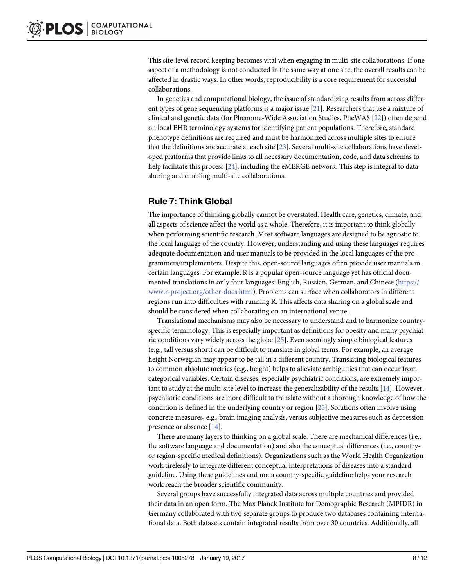<span id="page-8-0"></span>This site-level record keeping becomes vital when engaging in multi-site collaborations. If one aspect of a methodology is not conducted in the same way at one site, the overall results can be affected in drastic ways. In other words, reproducibility is a core requirement for successful collaborations.

In genetics and computational biology, the issue of standardizing results from across different types of gene sequencing platforms is a major issue [\[21\]](#page-11-0). Researchers that use a mixture of clinical and genetic data (for Phenome-Wide Association Studies, PheWAS [[22](#page-11-0)]) often depend on local EHR terminology systems for identifying patient populations. Therefore, standard phenotype definitions are required and must be harmonized across multiple sites to ensure that the definitions are accurate at each site [[23](#page-11-0)]. Several multi-site collaborations have developed platforms that provide links to all necessary documentation, code, and data schemas to help facilitate this process [\[24\]](#page-12-0), including the eMERGE network. This step is integral to data sharing and enabling multi-site collaborations.

### **Rule 7: Think Global**

The importance of thinking globally cannot be overstated. Health care, genetics, climate, and all aspects of science affect the world as a whole. Therefore, it is important to think globally when performing scientific research. Most software languages are designed to be agnostic to the local language of the country. However, understanding and using these languages requires adequate documentation and user manuals to be provided in the local languages of the programmers/implementers. Despite this, open-source languages often provide user manuals in certain languages. For example, R is a popular open-source language yet has official documented translations in only four languages: English, Russian, German, and Chinese ([https://](https://www.r-project.org/other-docs.html) [www.r-project.org/other-docs.html](https://www.r-project.org/other-docs.html)). Problems can surface when collaborators in different regions run into difficulties with running R. This affects data sharing on a global scale and should be considered when collaborating on an international venue.

Translational mechanisms may also be necessary to understand and to harmonize countryspecific terminology. This is especially important as definitions for obesity and many psychiatric conditions vary widely across the globe [[25](#page-12-0)]. Even seemingly simple biological features (e.g., tall versus short) can be difficult to translate in global terms. For example, an average height Norwegian may appear to be tall in a different country. Translating biological features to common absolute metrics (e.g., height) helps to alleviate ambiguities that can occur from categorical variables. Certain diseases, especially psychiatric conditions, are extremely important to study at the multi-site level to increase the generalizability of the results [\[14\]](#page-11-0). However, psychiatric conditions are more difficult to translate without a thorough knowledge of how the condition is defined in the underlying country or region [[25](#page-12-0)]. Solutions often involve using concrete measures, e.g., brain imaging analysis, versus subjective measures such as depression presence or absence [[14](#page-11-0)].

There are many layers to thinking on a global scale. There are mechanical differences (i.e., the software language and documentation) and also the conceptual differences (i.e., countryor region-specific medical definitions). Organizations such as the World Health Organization work tirelessly to integrate different conceptual interpretations of diseases into a standard guideline. Using these guidelines and not a country-specific guideline helps your research work reach the broader scientific community.

Several groups have successfully integrated data across multiple countries and provided their data in an open form. The Max Planck Institute for Demographic Research (MPIDR) in Germany collaborated with two separate groups to produce two databases containing international data. Both datasets contain integrated results from over 30 countries. Additionally, all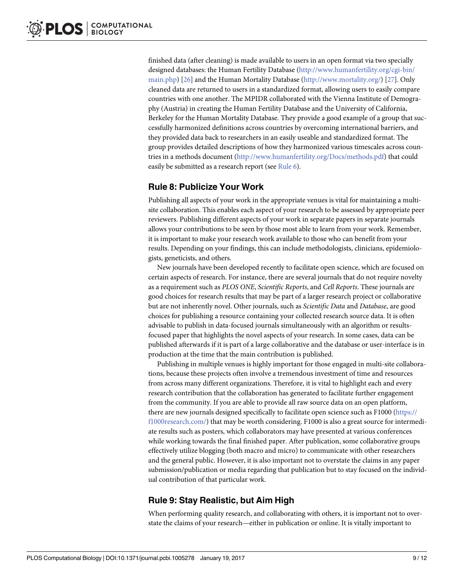<span id="page-9-0"></span>finished data (after cleaning) is made available to users in an open format via two specially designed databases: the Human Fertility Database [\(http://www.humanfertility.org/cgi-bin/](http://www.humanfertility.org/cgi-bin/main.php) [main.php\)](http://www.humanfertility.org/cgi-bin/main.php) [[26](#page-12-0)] and the Human Mortality Database ([http://www.mortality.org/\)](http://www.mortality.org/) [[27](#page-12-0)]. Only cleaned data are returned to users in a standardized format, allowing users to easily compare countries with one another. The MPIDR collaborated with the Vienna Institute of Demography (Austria) in creating the Human Fertility Database and the University of California, Berkeley for the Human Mortality Database. They provide a good example of a group that successfully harmonized definitions across countries by overcoming international barriers, and they provided data back to researchers in an easily useable and standardized format. The group provides detailed descriptions of how they harmonized various timescales across countries in a methods document ([http://www.humanfertility.org/Docs/methods.pdf\)](http://www.humanfertility.org/Docs/methods.pdf) that could easily be submitted as a research report (see [Rule](#page-7-0) 6).

#### **Rule 8: Publicize Your Work**

Publishing all aspects of your work in the appropriate venues is vital for maintaining a multisite collaboration. This enables each aspect of your research to be assessed by appropriate peer reviewers. Publishing different aspects of your work in separate papers in separate journals allows your contributions to be seen by those most able to learn from your work. Remember, it is important to make your research work available to those who can benefit from your results. Depending on your findings, this can include methodologists, clinicians, epidemiologists, geneticists, and others.

New journals have been developed recently to facilitate open science, which are focused on certain aspects of research. For instance, there are several journals that do not require novelty as a requirement such as *PLOS ONE*, *Scientific Reports*, and *Cell Reports*. These journals are good choices for research results that may be part of a larger research project or collaborative but are not inherently novel. Other journals, such as *Scientific Data* and *Database*, are good choices for publishing a resource containing your collected research source data. It is often advisable to publish in data-focused journals simultaneously with an algorithm or resultsfocused paper that highlights the novel aspects of your research. In some cases, data can be published afterwards if it is part of a large collaborative and the database or user-interface is in production at the time that the main contribution is published.

Publishing in multiple venues is highly important for those engaged in multi-site collaborations, because these projects often involve a tremendous investment of time and resources from across many different organizations. Therefore, it is vital to highlight each and every research contribution that the collaboration has generated to facilitate further engagement from the community. If you are able to provide all raw source data on an open platform, there are new journals designed specifically to facilitate open science such as F1000 ([https://](https://f1000research.com/) [f1000research.com/](https://f1000research.com/)) that may be worth considering. F1000 is also a great source for intermediate results such as posters, which collaborators may have presented at various conferences while working towards the final finished paper. After publication, some collaborative groups effectively utilize blogging (both macro and micro) to communicate with other researchers and the general public. However, it is also important not to overstate the claims in any paper submission/publication or media regarding that publication but to stay focused on the individual contribution of that particular work.

### **Rule 9: Stay Realistic, but Aim High**

When performing quality research, and collaborating with others, it is important not to overstate the claims of your research—either in publication or online. It is vitally important to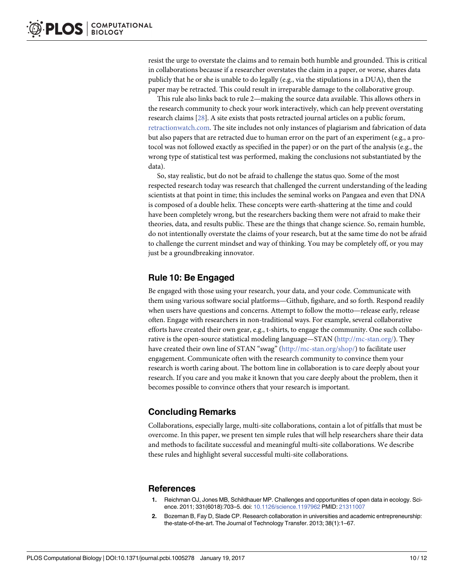<span id="page-10-0"></span>resist the urge to overstate the claims and to remain both humble and grounded. This is critical in collaborations because if a researcher overstates the claim in a paper, or worse, shares data publicly that he or she is unable to do legally (e.g., via the stipulations in a DUA), then the paper may be retracted. This could result in irreparable damage to the collaborative group.

This rule also links back to rule 2—making the source data available. This allows others in the research community to check your work interactively, which can help prevent overstating research claims [[28](#page-12-0)]. A site exists that posts retracted journal articles on a public forum, [retractionwatch.com.](https://retractionwatch.com) The site includes not only instances of plagiarism and fabrication of data but also papers that are retracted due to human error on the part of an experiment (e.g., a protocol was not followed exactly as specified in the paper) or on the part of the analysis (e.g., the wrong type of statistical test was performed, making the conclusions not substantiated by the data).

So, stay realistic, but do not be afraid to challenge the status quo. Some of the most respected research today was research that challenged the current understanding of the leading scientists at that point in time; this includes the seminal works on Pangaea and even that DNA is composed of a double helix. These concepts were earth-shattering at the time and could have been completely wrong, but the researchers backing them were not afraid to make their theories, data, and results public. These are the things that change science. So, remain humble, do not intentionally overstate the claims of your research, but at the same time do not be afraid to challenge the current mindset and way of thinking. You may be completely off, or you may just be a groundbreaking innovator.

#### **Rule 10: Be Engaged**

Be engaged with those using your research, your data, and your code. Communicate with them using various software social platforms—Github, figshare, and so forth. Respond readily when users have questions and concerns. Attempt to follow the motto—release early, release often. Engage with researchers in non-traditional ways. For example, several collaborative efforts have created their own gear, e.g., t-shirts, to engage the community. One such collaborative is the open-source statistical modeling language—STAN [\(http://mc-stan.org/\)](http://mc-stan.org/). They have created their own line of STAN "swag" ([http://mc-stan.org/shop/\)](http://mc-stan.org/shop/) to facilitate user engagement. Communicate often with the research community to convince them your research is worth caring about. The bottom line in collaboration is to care deeply about your research. If you care and you make it known that you care deeply about the problem, then it becomes possible to convince others that your research is important.

### **Concluding Remarks**

Collaborations, especially large, multi-site collaborations, contain a lot of pitfalls that must be overcome. In this paper, we present ten simple rules that will help researchers share their data and methods to facilitate successful and meaningful multi-site collaborations. We describe these rules and highlight several successful multi-site collaborations.

#### **References**

- **[1](#page-1-0).** Reichman OJ, Jones MB, Schildhauer MP. Challenges and opportunities of open data in ecology. Science. 2011; 331(6018):703–5. doi: [10.1126/science.1197962](http://dx.doi.org/10.1126/science.1197962) PMID: [21311007](http://www.ncbi.nlm.nih.gov/pubmed/21311007)
- **[2](#page-1-0).** Bozeman B, Fay D, Slade CP. Research collaboration in universities and academic entrepreneurship: the-state-of-the-art. The Journal of Technology Transfer. 2013; 38(1):1–67.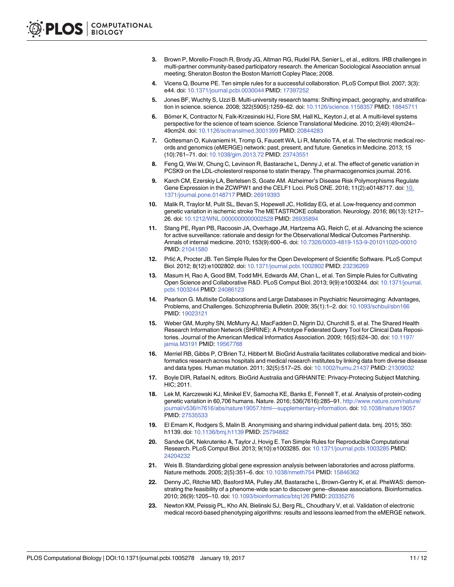- <span id="page-11-0"></span>**[3](#page-1-0).** Brown P, Morello-Frosch R, Brody JG, Altman RG, Rudel RA, Senier L, et al., editors. IRB challenges in multi-partner community-based participatory research. the American Sociological Association annual meeting; Sheraton Boston the Boston Marriott Copley Place; 2008.
- **[4](#page-1-0).** Vicens Q, Bourne PE. Ten simple rules for a successful collaboration. PLoS Comput Biol. 2007; 3(3): e44. doi: [10.1371/journal.pcbi.0030044](http://dx.doi.org/10.1371/journal.pcbi.0030044) PMID: [17397252](http://www.ncbi.nlm.nih.gov/pubmed/17397252)
- **[5](#page-1-0).** Jones BF, Wuchty S, Uzzi B. Multi-university research teams: Shifting impact, geography, and stratification in science. science. 2008; 322(5905):1259–62. doi: [10.1126/science.1158357](http://dx.doi.org/10.1126/science.1158357) PMID: [18845711](http://www.ncbi.nlm.nih.gov/pubmed/18845711)
- **[6](#page-1-0).** Börner K, Contractor N, Falk-Krzesinski HJ, Fiore SM, Hall KL, Keyton J, et al. A multi-level systems perspective for the science of team science. Science Translational Medicine. 2010; 2(49):49cm24– 49cm24. doi: [10.1126/scitranslmed.3001399](http://dx.doi.org/10.1126/scitranslmed.3001399) PMID: [20844283](http://www.ncbi.nlm.nih.gov/pubmed/20844283)
- **[7](#page-1-0).** Gottesman O, Kuivaniemi H, Tromp G, Faucett WA, Li R, Manolio TA, et al. The electronic medical records and genomics (eMERGE) network: past, present, and future. Genetics in Medicine. 2013; 15 (10):761–71. doi: [10.1038/gim.2013.72](http://dx.doi.org/10.1038/gim.2013.72) PMID: [23743551](http://www.ncbi.nlm.nih.gov/pubmed/23743551)
- **[8](#page-1-0).** Feng Q, Wei W, Chung C, Levinson R, Bastarache L, Denny J, et al. The effect of genetic variation in PCSK9 on the LDL-cholesterol response to statin therapy. The pharmacogenomics journal. 2016.
- **[9](#page-1-0).** Karch CM, Ezerskiy LA, Bertelsen S, Goate AM. Alzheimer's Disease Risk Polymorphisms Regulate Gene Expression in the ZCWPW1 and the CELF1 Loci. PloS ONE. 2016; 11(2):e0148717. doi: [10.](http://dx.doi.org/10.1371/journal.pone.0148717) [1371/journal.pone.0148717](http://dx.doi.org/10.1371/journal.pone.0148717) PMID: [26919393](http://www.ncbi.nlm.nih.gov/pubmed/26919393)
- **[10](#page-1-0).** Malik R, Traylor M, Pulit SL, Bevan S, Hopewell JC, Holliday EG, et al. Low-frequency and common genetic variation in ischemic stroke The METASTROKE collaboration. Neurology. 2016; 86(13):1217– 26. doi: [10.1212/WNL.0000000000002528](http://dx.doi.org/10.1212/WNL.0000000000002528) PMID: [26935894](http://www.ncbi.nlm.nih.gov/pubmed/26935894)
- **[11](#page-1-0).** Stang PE, Ryan PB, Racoosin JA, Overhage JM, Hartzema AG, Reich C, et al. Advancing the science for active surveillance: rationale and design for the Observational Medical Outcomes Partnership. Annals of internal medicine. 2010; 153(9):600–6. doi: [10.7326/0003-4819-153-9-201011020-00010](http://dx.doi.org/10.7326/0003-4819-153-9-201011020-00010) PMID: [21041580](http://www.ncbi.nlm.nih.gov/pubmed/21041580)
- **[12](#page-2-0).** Prlić A, Procter JB. Ten Simple Rules for the Open Development of Scientific Software. PLoS Comput Biol. 2012; 8(12):e1002802. doi: [10.1371/journal.pcbi.1002802](http://dx.doi.org/10.1371/journal.pcbi.1002802) PMID: [23236269](http://www.ncbi.nlm.nih.gov/pubmed/23236269)
- **[13](#page-2-0).** Masum H, Rao A, Good BM, Todd MH, Edwards AM, Chan L, et al. Ten Simple Rules for Cultivating Open Science and Collaborative R&D. PLoS Comput Biol. 2013; 9(9):e1003244. doi: [10.1371/journal.](http://dx.doi.org/10.1371/journal.pcbi.1003244) [pcbi.1003244](http://dx.doi.org/10.1371/journal.pcbi.1003244) PMID: [24086123](http://www.ncbi.nlm.nih.gov/pubmed/24086123)
- **[14](#page-5-0).** Pearlson G. Multisite Collaborations and Large Databases in Psychiatric Neuroimaging: Advantages, Problems, and Challenges. Schizophrenia Bulletin. 2009; 35(1):1–2. doi: [10.1093/schbul/sbn166](http://dx.doi.org/10.1093/schbul/sbn166) PMID: [19023121](http://www.ncbi.nlm.nih.gov/pubmed/19023121)
- **[15](#page-6-0).** Weber GM, Murphy SN, McMurry AJ, MacFadden D, Nigrin DJ, Churchill S, et al. The Shared Health Research Information Network (SHRINE): A Prototype Federated Query Tool for Clinical Data Repositories. Journal of the American Medical Informatics Association. 2009; 16(5):624–30. doi: [10.1197/](http://dx.doi.org/10.1197/jamia.M3191) [jamia.M3191](http://dx.doi.org/10.1197/jamia.M3191) PMID: [19567788](http://www.ncbi.nlm.nih.gov/pubmed/19567788)
- **[16](#page-6-0).** Merriel RB, Gibbs P, O'Brien TJ, Hibbert M. BioGrid Australia facilitates collaborative medical and bioinformatics research across hospitals and medical research institutes by linking data from diverse disease and data types. Human mutation. 2011; 32(5):517–25. doi: [10.1002/humu.21437](http://dx.doi.org/10.1002/humu.21437) PMID: [21309032](http://www.ncbi.nlm.nih.gov/pubmed/21309032)
- **[17](#page-6-0).** Boyle DIR, Rafael N, editors. BioGrid Australia and GRHANITE: Privacy-Protecing Subject Matching. HIC; 2011.
- **[18](#page-7-0).** Lek M, Karczewski KJ, Minikel EV, Samocha KE, Banks E, Fennell T, et al. Analysis of protein-coding genetic variation in 60,706 humans. Nature. 2016; 536(7616):285–91. [http://www.nature.com/nature/](http://www.nature.com/nature/journal/v536/n7616/abs/nature19057.html—supplementary-information) [journal/v536/n7616/abs/nature19057.html—supplementary-information](http://www.nature.com/nature/journal/v536/n7616/abs/nature19057.html—supplementary-information). doi: [10.1038/nature19057](http://dx.doi.org/10.1038/nature19057) PMID: [27535533](http://www.ncbi.nlm.nih.gov/pubmed/27535533)
- **[19](#page-7-0).** El Emam K, Rodgers S, Malin B. Anonymising and sharing individual patient data. bmj. 2015; 350: h1139. doi: [10.1136/bmj.h1139](http://dx.doi.org/10.1136/bmj.h1139) PMID: [25794882](http://www.ncbi.nlm.nih.gov/pubmed/25794882)
- **[20](#page-7-0).** Sandve GK, Nekrutenko A, Taylor J, Hovig E. Ten Simple Rules for Reproducible Computational Research. PLoS Comput Biol. 2013; 9(10):e1003285. doi: [10.1371/journal.pcbi.1003285](http://dx.doi.org/10.1371/journal.pcbi.1003285) PMID: [24204232](http://www.ncbi.nlm.nih.gov/pubmed/24204232)
- **[21](#page-8-0).** Weis B. Standardizing global gene expression analysis between laboratories and across platforms. Nature methods. 2005; 2(5):351–6. doi: [10.1038/nmeth754](http://dx.doi.org/10.1038/nmeth754) PMID: [15846362](http://www.ncbi.nlm.nih.gov/pubmed/15846362)
- **[22](#page-8-0).** Denny JC, Ritchie MD, Basford MA, Pulley JM, Bastarache L, Brown-Gentry K, et al. PheWAS: demonstrating the feasibility of a phenome-wide scan to discover gene–disease associations. Bioinformatics. 2010; 26(9):1205–10. doi: [10.1093/bioinformatics/btq126](http://dx.doi.org/10.1093/bioinformatics/btq126) PMID: [20335276](http://www.ncbi.nlm.nih.gov/pubmed/20335276)
- **[23](#page-8-0).** Newton KM, Peissig PL, Kho AN, Bielinski SJ, Berg RL, Choudhary V, et al. Validation of electronic medical record-based phenotyping algorithms: results and lessons learned from the eMERGE network.